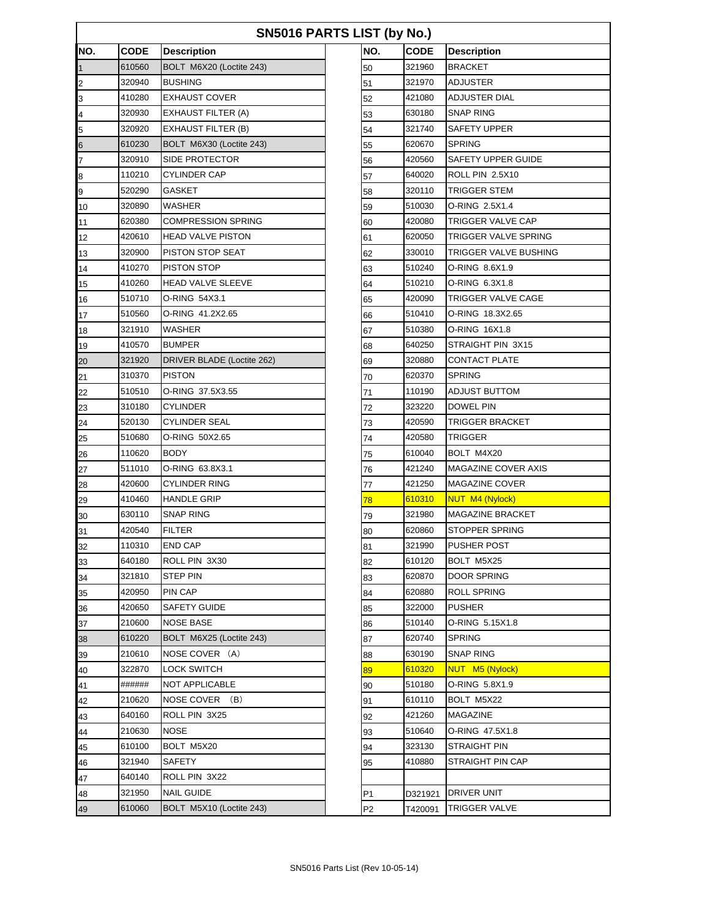| SN5016 PARTS LIST (by No.) |             |                            |                |             |                       |  |  |  |
|----------------------------|-------------|----------------------------|----------------|-------------|-----------------------|--|--|--|
| NO.                        | <b>CODE</b> | <b>Description</b>         | NO.            | <b>CODE</b> | <b>Description</b>    |  |  |  |
| $\mathbf 1$                | 610560      | BOLT M6X20 (Loctite 243)   | 50             | 321960      | <b>BRACKET</b>        |  |  |  |
| $\overline{2}$             | 320940      | <b>BUSHING</b>             | 51             | 321970      | ADJUSTER              |  |  |  |
| 3                          | 410280      | <b>EXHAUST COVER</b>       | 52             | 421080      | ADJUSTER DIAL         |  |  |  |
| 4                          | 320930      | <b>EXHAUST FILTER (A)</b>  | 53             | 630180      | SNAP RING             |  |  |  |
| 5                          | 320920      | <b>EXHAUST FILTER (B)</b>  | 54             | 321740      | <b>SAFETY UPPER</b>   |  |  |  |
| 6                          | 610230      | BOLT M6X30 (Loctite 243)   | 55             | 620670      | <b>SPRING</b>         |  |  |  |
| 7                          | 320910      | SIDE PROTECTOR             | 56             | 420560      | SAFETY UPPER GUIDE    |  |  |  |
| 8                          | 110210      | CYLINDER CAP               | 57             | 640020      | ROLL PIN 2.5X10       |  |  |  |
| 9                          | 520290      | GASKET                     | 58             | 320110      | TRIGGER STEM          |  |  |  |
| 10                         | 320890      | WASHER                     | 59             | 510030      | O-RING 2.5X1.4        |  |  |  |
| 11                         | 620380      | <b>COMPRESSION SPRING</b>  | 60             | 420080      | TRIGGER VALVE CAP     |  |  |  |
| 12                         | 420610      | HEAD VALVE PISTON          | 61             | 620050      | TRIGGER VALVE SPRING  |  |  |  |
| 13                         | 320900      | PISTON STOP SEAT           | 62             | 330010      | TRIGGER VALVE BUSHING |  |  |  |
| 14                         | 410270      | <b>PISTON STOP</b>         | 63             | 510240      | O-RING 8.6X1.9        |  |  |  |
| 15                         | 410260      | HEAD VALVE SLEEVE          | 64             | 510210      | O-RING 6.3X1.8        |  |  |  |
| 16                         | 510710      | O-RING 54X3.1              | 65             | 420090      | TRIGGER VALVE CAGE    |  |  |  |
| 17                         | 510560      | O-RING 41.2X2.65           | 66             | 510410      | O-RING 18.3X2.65      |  |  |  |
| 18                         | 321910      | WASHER                     | 67             | 510380      | O-RING 16X1.8         |  |  |  |
| 19                         | 410570      | <b>BUMPER</b>              | 68             | 640250      | STRAIGHT PIN 3X15     |  |  |  |
| 20                         | 321920      | DRIVER BLADE (Loctite 262) | 69             | 320880      | CONTACT PLATE         |  |  |  |
| 21                         | 310370      | <b>PISTON</b>              | 70             | 620370      | <b>SPRING</b>         |  |  |  |
| 22                         | 510510      | O-RING 37.5X3.55           | 71             | 110190      | ADJUST BUTTOM         |  |  |  |
| 23                         | 310180      | <b>CYLINDER</b>            | 72             | 323220      | <b>DOWEL PIN</b>      |  |  |  |
| 24                         | 520130      | CYLINDER SEAL              | 73             | 420590      | TRIGGER BRACKET       |  |  |  |
| 25                         | 510680      | O-RING 50X2.65             | 74             | 420580      | TRIGGER               |  |  |  |
| 26                         | 110620      | <b>BODY</b>                | 75             | 610040      | BOLT M4X20            |  |  |  |
| 27                         | 511010      | O-RING 63.8X3.1            | 76             | 421240      | MAGAZINE COVER AXIS   |  |  |  |
| 28                         | 420600      | <b>CYLINDER RING</b>       | 77             | 421250      | <b>MAGAZINE COVER</b> |  |  |  |
| 29                         | 410460      | <b>HANDLE GRIP</b>         | 78             | 610310      | NUT M4 (Nylock)       |  |  |  |
| 30                         | 630110      | <b>SNAP RING</b>           | 79             | 321980      | MAGAZINE BRACKET      |  |  |  |
| 31                         | 420540      | FILTER                     | 80             | 620860      | <b>STOPPER SPRING</b> |  |  |  |
| 32                         | 110310      | <b>END CAP</b>             | 81             | 321990      | <b>PUSHER POST</b>    |  |  |  |
| 33                         | 640180      | ROLL PIN 3X30              | 82             | 610120      | BOLT M5X25            |  |  |  |
| 34                         | 321810      | <b>STEP PIN</b>            | 83             | 620870      | DOOR SPRING           |  |  |  |
| 35                         | 420950      | PIN CAP                    | 84             | 620880      | <b>ROLL SPRING</b>    |  |  |  |
| 36                         | 420650      | SAFETY GUIDE               | 85             | 322000      | <b>PUSHER</b>         |  |  |  |
| 37                         | 210600      | <b>NOSE BASE</b>           | 86             | 510140      | O-RING 5.15X1.8       |  |  |  |
| 38                         | 610220      | BOLT M6X25 (Loctite 243)   | 87             | 620740      | <b>SPRING</b>         |  |  |  |
| 39                         | 210610      | NOSE COVER (A)             | 88             | 630190      | <b>SNAP RING</b>      |  |  |  |
| 40                         | 322870      | LOCK SWITCH                | 89             | 610320      | NUT M5 (Nylock)       |  |  |  |
| 41                         | ######      | NOT APPLICABLE             | 90             | 510180      | O-RING 5.8X1.9        |  |  |  |
| 42                         | 210620      | <b>NOSE COVER</b><br>(B)   | 91             | 610110      | BOLT M5X22            |  |  |  |
| 43                         | 640160      | ROLL PIN 3X25              | 92             | 421260      | MAGAZINE              |  |  |  |
| 44                         | 210630      | NOSE                       | 93             | 510640      | O-RING 47.5X1.8       |  |  |  |
| 45                         | 610100      | BOLT M5X20                 | 94             | 323130      | <b>STRAIGHT PIN</b>   |  |  |  |
| 46                         | 321940      | <b>SAFETY</b>              | 95             | 410880      | STRAIGHT PIN CAP      |  |  |  |
| 47                         | 640140      | ROLL PIN 3X22              |                |             |                       |  |  |  |
| 48                         | 321950      | NAIL GUIDE                 | P <sub>1</sub> | D321921     | <b>DRIVER UNIT</b>    |  |  |  |
| 49                         | 610060      | BOLT M5X10 (Loctite 243)   | P <sub>2</sub> | T420091     | <b>TRIGGER VALVE</b>  |  |  |  |